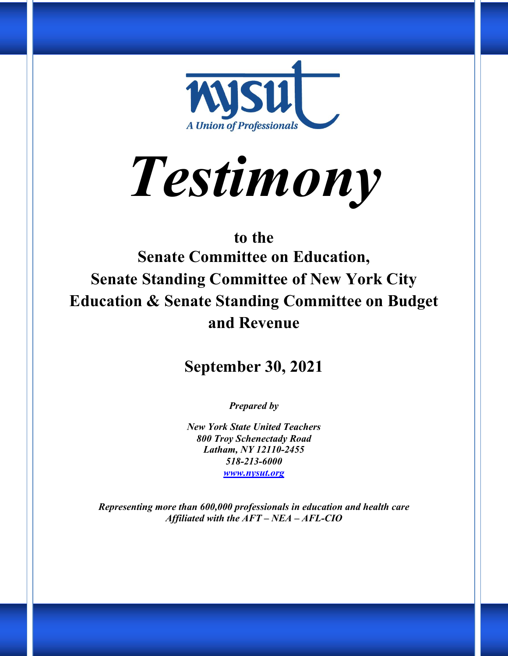

*Testimony*

# **to the Senate Committee on Education, Senate Standing Committee of New York City Education & Senate Standing Committee on Budget and Revenue**

# **September 30, 2021**

*Prepared by* 

*New York State United Teachers 800 Troy Schenectady Road Latham, NY 12110-2455 518-213-6000 www.nysut.org*

*Representing more than 600,000 professionals in education and health care Affiliated with the AFT – NEA – AFL-CIO*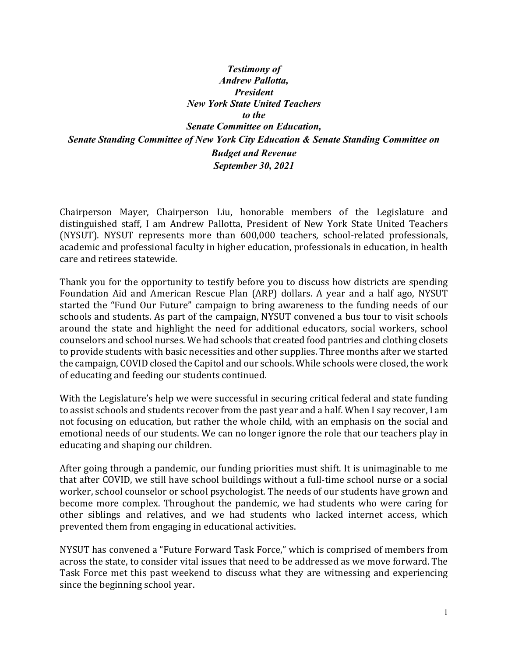*Testimony of Andrew Pallotta, President New York State United Teachers to the Senate Committee on Education, Senate Standing Committee of New York City Education & Senate Standing Committee on Budget and Revenue September 30, 2021*

Chairperson Mayer, Chairperson Liu, honorable members of the Legislature and distinguished staff, I am Andrew Pallotta, President of New York State United Teachers (NYSUT). NYSUT represents more than 600,000 teachers, school-related professionals, academic and professional faculty in higher education, professionals in education, in health care and retirees statewide.

Thank you for the opportunity to testify before you to discuss how districts are spending Foundation Aid and American Rescue Plan (ARP) dollars. A year and a half ago, NYSUT started the "Fund Our Future" campaign to bring awareness to the funding needs of our schools and students. As part of the campaign, NYSUT convened a bus tour to visit schools around the state and highlight the need for additional educators, social workers, school counselors and school nurses. We had schools that created food pantries and clothing closets to provide students with basic necessities and other supplies. Three months after we started the campaign, COVID closed the Capitol and our schools. While schools were closed, the work of educating and feeding our students continued.

With the Legislature's help we were successful in securing critical federal and state funding to assist schools and students recover from the past year and a half. When I say recover, I am not focusing on education, but rather the whole child, with an emphasis on the social and emotional needs of our students. We can no longer ignore the role that our teachers play in educating and shaping our children.

After going through a pandemic, our funding priorities must shift. It is unimaginable to me that after COVID, we still have school buildings without a full-time school nurse or a social worker, school counselor or school psychologist. The needs of our students have grown and become more complex. Throughout the pandemic, we had students who were caring for other siblings and relatives, and we had students who lacked internet access, which prevented them from engaging in educational activities.

NYSUT has convened a "Future Forward Task Force," which is comprised of members from across the state, to consider vital issues that need to be addressed as we move forward. The Task Force met this past weekend to discuss what they are witnessing and experiencing since the beginning school year.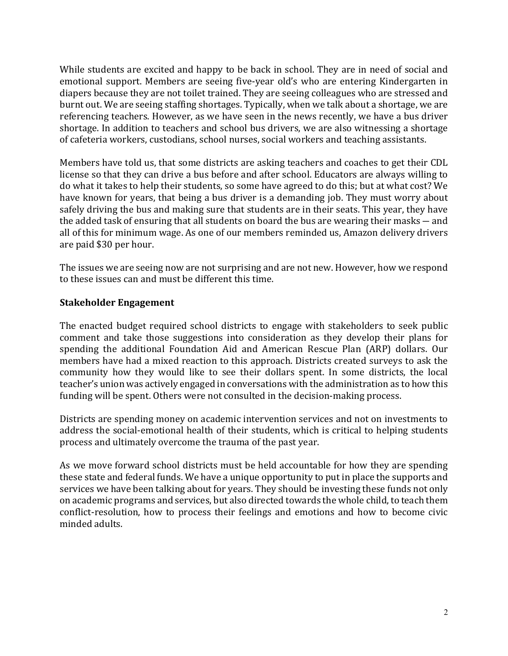While students are excited and happy to be back in school. They are in need of social and emotional support. Members are seeing five-year old's who are entering Kindergarten in diapers because they are not toilet trained. They are seeing colleagues who are stressed and burnt out. We are seeing staffing shortages. Typically, when we talk about a shortage, we are referencing teachers. However, as we have seen in the news recently, we have a bus driver shortage. In addition to teachers and school bus drivers, we are also witnessing a shortage of cafeteria workers, custodians, school nurses, social workers and teaching assistants.

Members have told us, that some districts are asking teachers and coaches to get their CDL license so that they can drive a bus before and after school. Educators are always willing to do what it takes to help their students, so some have agreed to do this; but at what cost? We have known for years, that being a bus driver is a demanding job. They must worry about safely driving the bus and making sure that students are in their seats. This year, they have the added task of ensuring that all students on board the bus are wearing their masks  $-$  and all of this for minimum wage. As one of our members reminded us, Amazon delivery drivers are paid \$30 per hour.

The issues we are seeing now are not surprising and are not new. However, how we respond to these issues can and must be different this time.

#### **Stakeholder Engagement**

The enacted budget required school districts to engage with stakeholders to seek public comment and take those suggestions into consideration as they develop their plans for spending the additional Foundation Aid and American Rescue Plan (ARP) dollars. Our members have had a mixed reaction to this approach. Districts created surveys to ask the community how they would like to see their dollars spent. In some districts, the local teacher's union was actively engaged in conversations with the administration as to how this funding will be spent. Others were not consulted in the decision-making process.

Districts are spending money on academic intervention services and not on investments to address the social-emotional health of their students, which is critical to helping students process and ultimately overcome the trauma of the past year.

As we move forward school districts must be held accountable for how they are spending these state and federal funds. We have a unique opportunity to put in place the supports and services we have been talking about for years. They should be investing these funds not only on academic programs and services, but also directed towards the whole child, to teach them conflict-resolution, how to process their feelings and emotions and how to become civic minded adults.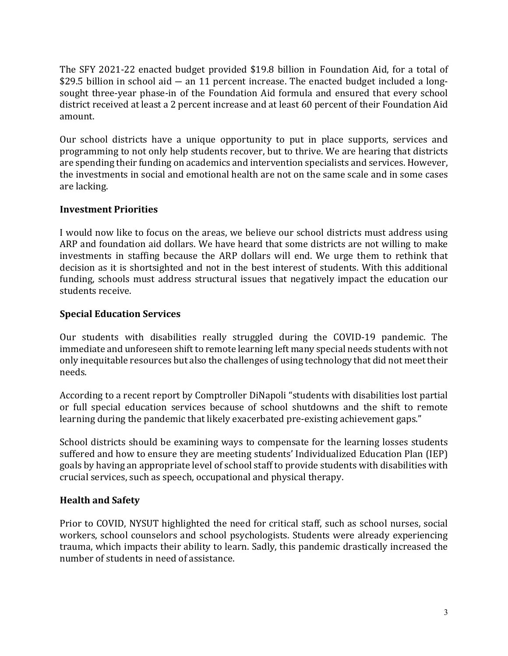The SFY 2021-22 enacted budget provided \$19.8 billion in Foundation Aid, for a total of \$29.5 billion in school aid  $-$  an 11 percent increase. The enacted budget included a longsought three-year phase-in of the Foundation Aid formula and ensured that every school district received at least a 2 percent increase and at least 60 percent of their Foundation Aid amount. 

Our school districts have a unique opportunity to put in place supports, services and programming to not only help students recover, but to thrive. We are hearing that districts are spending their funding on academics and intervention specialists and services. However, the investments in social and emotional health are not on the same scale and in some cases are lacking.

# **Investment Priorities**

I would now like to focus on the areas, we believe our school districts must address using ARP and foundation aid dollars. We have heard that some districts are not willing to make investments in staffing because the ARP dollars will end. We urge them to rethink that decision as it is shortsighted and not in the best interest of students. With this additional funding, schools must address structural issues that negatively impact the education our students receive.

# **Special Education Services**

Our students with disabilities really struggled during the COVID-19 pandemic. The immediate and unforeseen shift to remote learning left many special needs students with not only inequitable resources but also the challenges of using technology that did not meet their needs.

According to a recent report by Comptroller DiNapoli "students with disabilities lost partial or full special education services because of school shutdowns and the shift to remote learning during the pandemic that likely exacerbated pre-existing achievement gaps."

School districts should be examining ways to compensate for the learning losses students suffered and how to ensure they are meeting students' Individualized Education Plan (IEP) goals by having an appropriate level of school staff to provide students with disabilities with crucial services, such as speech, occupational and physical therapy.

#### **Health and Safety**

Prior to COVID, NYSUT highlighted the need for critical staff, such as school nurses, social workers, school counselors and school psychologists. Students were already experiencing trauma, which impacts their ability to learn. Sadly, this pandemic drastically increased the number of students in need of assistance.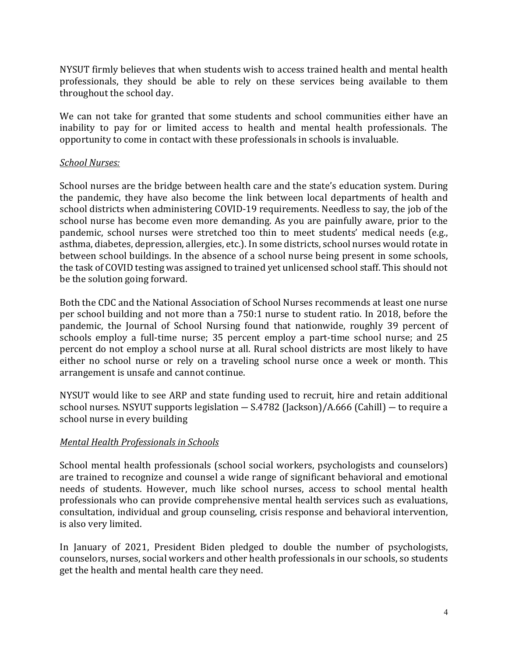NYSUT firmly believes that when students wish to access trained health and mental health professionals, they should be able to rely on these services being available to them throughout the school day.

We can not take for granted that some students and school communities either have an inability to pay for or limited access to health and mental health professionals. The opportunity to come in contact with these professionals in schools is invaluable.

#### *School Nurses:*

School nurses are the bridge between health care and the state's education system. During the pandemic, they have also become the link between local departments of health and school districts when administering COVID-19 requirements. Needless to say, the job of the school nurse has become even more demanding. As you are painfully aware, prior to the pandemic, school nurses were stretched too thin to meet students' medical needs (e.g., asthma, diabetes, depression, allergies, etc.). In some districts, school nurses would rotate in between school buildings. In the absence of a school nurse being present in some schools, the task of COVID testing was assigned to trained yet unlicensed school staff. This should not be the solution going forward.

Both the CDC and the National Association of School Nurses recommends at least one nurse per school building and not more than a 750:1 nurse to student ratio. In 2018, before the pandemic, the Journal of School Nursing found that nationwide, roughly 39 percent of schools employ a full-time nurse; 35 percent employ a part-time school nurse; and 25 percent do not employ a school nurse at all. Rural school districts are most likely to have either no school nurse or rely on a traveling school nurse once a week or month. This arrangement is unsafe and cannot continue.

NYSUT would like to see ARP and state funding used to recruit, hire and retain additional school nurses. NSYUT supports legislation  $-$  S.4782 (Jackson)/A.666 (Cahill)  $-$  to require a school nurse in every building

#### *Mental Health Professionals in Schools*

School mental health professionals (school social workers, psychologists and counselors) are trained to recognize and counsel a wide range of significant behavioral and emotional needs of students. However, much like school nurses, access to school mental health professionals who can provide comprehensive mental health services such as evaluations, consultation, individual and group counseling, crisis response and behavioral intervention, is also very limited.

In January of 2021, President Biden pledged to double the number of psychologists, counselors, nurses, social workers and other health professionals in our schools, so students get the health and mental health care they need.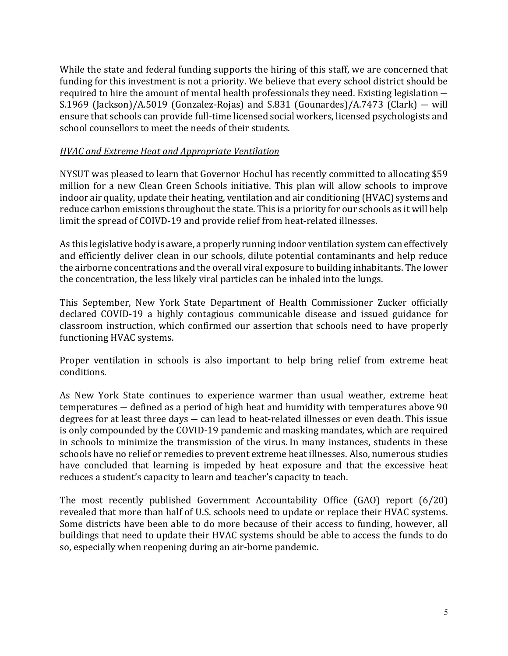While the state and federal funding supports the hiring of this staff, we are concerned that funding for this investment is not a priority. We believe that every school district should be required to hire the amount of mental health professionals they need. Existing legislation  $-$ S.1969 (Jackson)/A.5019 (Gonzalez-Rojas) and S.831 (Gounardes)/A.7473 (Clark)  $-$  will ensure that schools can provide full-time licensed social workers, licensed psychologists and school counsellors to meet the needs of their students.

# *HVAC and Extreme Heat and Appropriate Ventilation*

NYSUT was pleased to learn that Governor Hochul has recently committed to allocating \$59 million for a new Clean Green Schools initiative. This plan will allow schools to improve indoor air quality, update their heating, ventilation and air conditioning (HVAC) systems and reduce carbon emissions throughout the state. This is a priority for our schools as it will help limit the spread of COIVD-19 and provide relief from heat-related illnesses.

As this legislative body is aware, a properly running indoor ventilation system can effectively and efficiently deliver clean in our schools, dilute potential contaminants and help reduce the airborne concentrations and the overall viral exposure to building inhabitants. The lower the concentration, the less likely viral particles can be inhaled into the lungs.

This September, New York State Department of Health Commissioner Zucker officially declared COVID-19 a highly contagious communicable disease and issued guidance for classroom instruction, which confirmed our assertion that schools need to have properly functioning HVAC systems.

Proper ventilation in schools is also important to help bring relief from extreme heat conditions.

As New York State continues to experience warmer than usual weather, extreme heat  $temperatures$  – defined as a period of high heat and humidity with temperatures above 90 degrees for at least three days  $-$  can lead to heat-related illnesses or even death. This issue is only compounded by the COVID-19 pandemic and masking mandates, which are required in schools to minimize the transmission of the virus. In many instances, students in these schools have no relief or remedies to prevent extreme heat illnesses. Also, numerous studies have concluded that learning is impeded by heat exposure and that the excessive heat reduces a student's capacity to learn and teacher's capacity to teach.

The most recently published Government Accountability Office  $(GAO)$  report  $(6/20)$ revealed that more than half of U.S. schools need to update or replace their HVAC systems. Some districts have been able to do more because of their access to funding, however, all buildings that need to update their HVAC systems should be able to access the funds to do so, especially when reopening during an air-borne pandemic.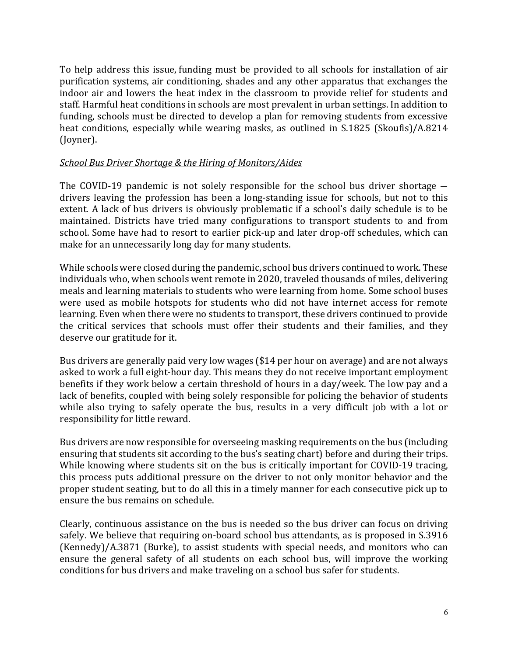To help address this issue, funding must be provided to all schools for installation of air purification systems, air conditioning, shades and any other apparatus that exchanges the indoor air and lowers the heat index in the classroom to provide relief for students and staff. Harmful heat conditions in schools are most prevalent in urban settings. In addition to funding, schools must be directed to develop a plan for removing students from excessive heat conditions, especially while wearing masks, as outlined in S.1825 (Skoufis)/A.8214 (Joyner).

#### **School Bus Driver Shortage & the Hiring of Monitors/Aides**

The COVID-19 pandemic is not solely responsible for the school bus driver shortage  $$ drivers leaving the profession has been a long-standing issue for schools, but not to this extent. A lack of bus drivers is obviously problematic if a school's daily schedule is to be maintained. Districts have tried many configurations to transport students to and from school. Some have had to resort to earlier pick-up and later drop-off schedules, which can make for an unnecessarily long day for many students.

While schools were closed during the pandemic, school bus drivers continued to work. These individuals who, when schools went remote in 2020, traveled thousands of miles, delivering meals and learning materials to students who were learning from home. Some school buses were used as mobile hotspots for students who did not have internet access for remote learning. Even when there were no students to transport, these drivers continued to provide the critical services that schools must offer their students and their families, and they deserve our gratitude for it.

Bus drivers are generally paid very low wages (\$14 per hour on average) and are not always asked to work a full eight-hour day. This means they do not receive important employment benefits if they work below a certain threshold of hours in a day/week. The low pay and a lack of benefits, coupled with being solely responsible for policing the behavior of students while also trying to safely operate the bus, results in a very difficult job with a lot or responsibility for little reward.

Bus drivers are now responsible for overseeing masking requirements on the bus (including ensuring that students sit according to the bus's seating chart) before and during their trips. While knowing where students sit on the bus is critically important for COVID-19 tracing, this process puts additional pressure on the driver to not only monitor behavior and the proper student seating, but to do all this in a timely manner for each consecutive pick up to ensure the bus remains on schedule.

Clearly, continuous assistance on the bus is needed so the bus driver can focus on driving safely. We believe that requiring on-board school bus attendants, as is proposed in S.3916  $(Kennedy)/A.3871$  (Burke), to assist students with special needs, and monitors who can ensure the general safety of all students on each school bus, will improve the working conditions for bus drivers and make traveling on a school bus safer for students.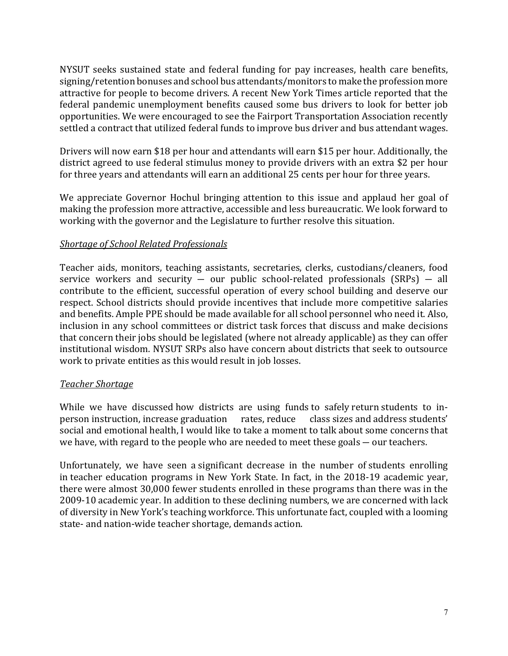NYSUT seeks sustained state and federal funding for pay increases, health care benefits, signing/retention bonuses and school bus attendants/monitors to make the profession more attractive for people to become drivers. A recent New York Times article reported that the federal pandemic unemployment benefits caused some bus drivers to look for better job opportunities. We were encouraged to see the Fairport Transportation Association recently settled a contract that utilized federal funds to improve bus driver and bus attendant wages.

Drivers will now earn \$18 per hour and attendants will earn \$15 per hour. Additionally, the district agreed to use federal stimulus money to provide drivers with an extra \$2 per hour for three years and attendants will earn an additional 25 cents per hour for three years.

We appreciate Governor Hochul bringing attention to this issue and applaud her goal of making the profession more attractive, accessible and less bureaucratic. We look forward to working with the governor and the Legislature to further resolve this situation.

# *Shortage of School Related Professionals*

Teacher aids, monitors, teaching assistants, secretaries, clerks, custodians/cleaners, food service workers and security  $-$  our public school-related professionals (SRPs)  $-$  all contribute to the efficient, successful operation of every school building and deserve our respect. School districts should provide incentives that include more competitive salaries and benefits. Ample PPE should be made available for all school personnel who need it. Also, inclusion in any school committees or district task forces that discuss and make decisions that concern their jobs should be legislated (where not already applicable) as they can offer institutional wisdom. NYSUT SRPs also have concern about districts that seek to outsource work to private entities as this would result in job losses.

#### *Teacher Shortage*

While we have discussed how districts are using funds to safely return students to inperson instruction, increase graduation rates, reduce class sizes and address students' social and emotional health, I would like to take a moment to talk about some concerns that we have, with regard to the people who are needed to meet these goals  $-$  our teachers.

Unfortunately, we have seen a significant decrease in the number of students enrolling in teacher education programs in New York State. In fact, in the 2018-19 academic year, there were almost 30,000 fewer students enrolled in these programs than there was in the 2009-10 academic year. In addition to these declining numbers, we are concerned with lack of diversity in New York's teaching workforce. This unfortunate fact, coupled with a looming state- and nation-wide teacher shortage, demands action.